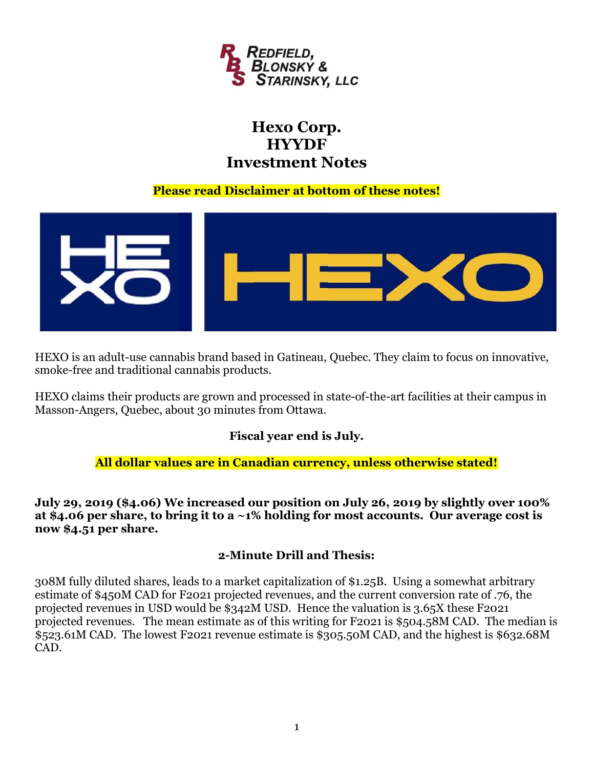

# Hexo Corp. **HYYDF** Investment Notes

#### Please read Disclaimer at bottom of these notes!



HEXO is an adult-use cannabis brand based in Gatineau, Quebec. They claim to focus on innovative, smoke-free and traditional cannabis products.

HEXO claims their products are grown and processed in state-of-the-art facilities at their campus in Masson-Angers, Quebec, about 30 minutes from Ottawa.

## Fiscal year end is July.

#### All dollar values are in Canadian currency, unless otherwise stated!

July 29, 2019 (\$4.06) We increased our position on July 26, 2019 by slightly over 100% at \$4.06 per share, to bring it to a  $\sim$ 1% holding for most accounts. Our average cost is now \$4.51 per share.

#### 2-Minute Drill and Thesis:

308M fully diluted shares, leads to a market capitalization of \$1.25B. Using a somewhat arbitrary estimate of \$450M CAD for F2021 projected revenues, and the current conversion rate of .76, the projected revenues in USD would be \$342M USD. Hence the valuation is 3.65X these F2021 projected revenues. The mean estimate as of this writing for F2021 is \$504.58M CAD. The median is \$523.61M CAD. The lowest F2021 revenue estimate is \$305.50M CAD, and the highest is \$632.68M CAD.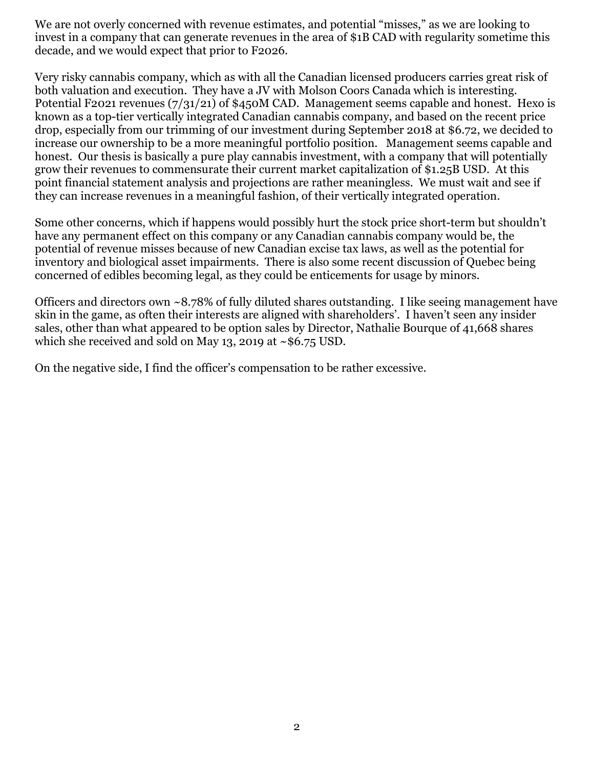We are not overly concerned with revenue estimates, and potential "misses," as we are looking to invest in a company that can generate revenues in the area of \$1B CAD with regularity sometime this decade, and we would expect that prior to F2026.

Very risky cannabis company, which as with all the Canadian licensed producers carries great risk of both valuation and execution. They have a JV with Molson Coors Canada which is interesting. Potential F2021 revenues (7/31/21) of \$450M CAD. Management seems capable and honest. Hexo is known as a top-tier vertically integrated Canadian cannabis company, and based on the recent price drop, especially from our trimming of our investment during September 2018 at \$6.72, we decided to increase our ownership to be a more meaningful portfolio position. Management seems capable and honest. Our thesis is basically a pure play cannabis investment, with a company that will potentially grow their revenues to commensurate their current market capitalization of \$1.25B USD. At this point financial statement analysis and projections are rather meaningless. We must wait and see if they can increase revenues in a meaningful fashion, of their vertically integrated operation.

Some other concerns, which if happens would possibly hurt the stock price short-term but shouldn't have any permanent effect on this company or any Canadian cannabis company would be, the potential of revenue misses because of new Canadian excise tax laws, as well as the potential for inventory and biological asset impairments. There is also some recent discussion of Quebec being concerned of edibles becoming legal, as they could be enticements for usage by minors.

Officers and directors own ~8.78% of fully diluted shares outstanding. I like seeing management have skin in the game, as often their interests are aligned with shareholders'. I haven't seen any insider sales, other than what appeared to be option sales by Director, Nathalie Bourque of 41,668 shares which she received and sold on May 13, 2019 at  $\sim$  \$6.75 USD.

On the negative side, I find the officer's compensation to be rather excessive.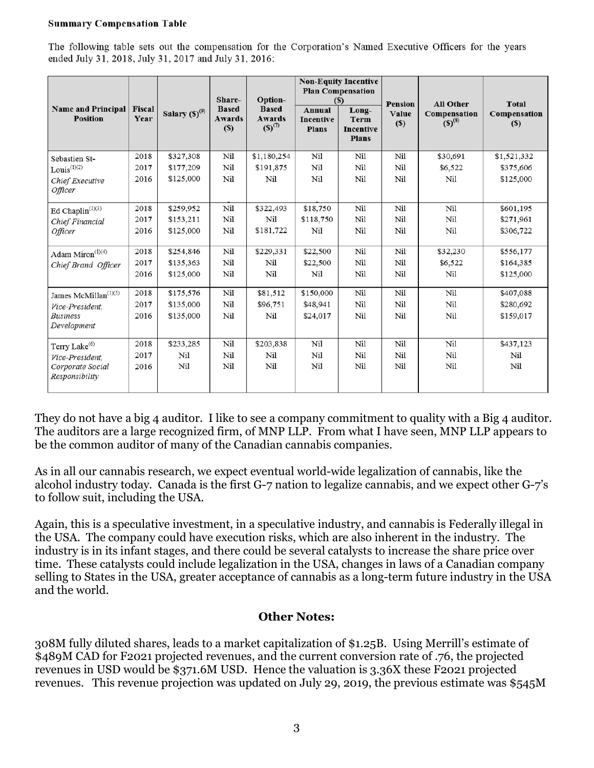#### **Summary Compensation Table**

The following table sets out the compensation for the Corporation's Named Executive Officers for the years ended July 31, 2018, July 31, 2017 and July 31, 2016:

| <b>Name and Principal</b><br><b>Position</b> | <b>Fiscal</b><br>Year | Salary $(S)^{(9)}$ | Share-<br><b>Based</b><br><b>Awards</b><br>(S) | Option-<br><b>Based</b><br><b>Awards</b><br>$(S)^{(7)}$ | Annual<br><b>Incentive</b><br><b>Plans</b> | <b>Non-Equity Incentive</b><br><b>Plan Compensation</b><br>$(S)$<br>Long-<br><b>Term</b><br><b>Incentive</b><br><b>Plans</b> | <b>Pension</b><br>Value<br>$(\$)$ | <b>All Other</b><br>Compensation<br>$(S)^{(8)}$ | <b>Total</b><br>Compensation<br>$(s)$ |
|----------------------------------------------|-----------------------|--------------------|------------------------------------------------|---------------------------------------------------------|--------------------------------------------|------------------------------------------------------------------------------------------------------------------------------|-----------------------------------|-------------------------------------------------|---------------------------------------|
| Sebastien St-                                | 2018                  | \$327,308          | Nil                                            | \$1,180,254                                             | Nil                                        | Nil                                                                                                                          | Nil                               | \$30,691                                        | \$1,521,332                           |
| $Louis^{(1)(2)}$                             | 2017                  | \$177,209          | Nil                                            | \$191,875                                               | Nil                                        | Nil                                                                                                                          | Nil                               | \$6,522                                         | \$375,606                             |
| Chief Executive<br>Officer                   | 2016                  | \$125,000          | Nil                                            | Nil                                                     | Nil                                        | Nil                                                                                                                          | Nil                               | Nil                                             | \$125,000                             |
| Ed Chaplin <sup><math>(1)(3)</math></sup>    | 2018                  | \$259,952          | Nil                                            | \$322,493                                               | \$18,750                                   | Nil                                                                                                                          | Nil                               | Nil                                             | \$601,195                             |
| Chief Financial                              | 2017                  | \$153,211          | Nil                                            | Nil                                                     | \$118,750                                  | Nil                                                                                                                          | Nil                               | Nil                                             | \$271,961                             |
| Officer                                      | 2016                  | \$125,000          | Nil                                            | \$181,722                                               | Nil                                        | Nil                                                                                                                          | Nil                               | Nil                                             | \$306,722                             |
| Adam Miron <sup>(1)(4)</sup>                 | 2018                  | \$254,846          | Nil                                            | \$229,331                                               | \$22,500                                   | Nil                                                                                                                          | Nil                               | \$32,230                                        | \$556,177                             |
| Chief Brand Officer                          | 2017                  | \$135,363          | Nil                                            | Nil                                                     | \$22,500                                   | Nil                                                                                                                          | Nil                               | \$6,522                                         | \$164,385                             |
|                                              | 2016                  | \$125,000          | Nil                                            | Nil                                                     | Nil                                        | Nil                                                                                                                          | Nil                               | Nil                                             | \$125,000                             |
| James McMillan <sup>(1)(5)</sup>             | 2018                  | \$175,576          | Nil                                            | \$81,512                                                | \$150,000                                  | Nil                                                                                                                          | Nil                               | Nil                                             | \$407,088                             |
| Vice-President.                              | 2017                  | \$135,000          | Nil                                            | \$96,751                                                | \$48,941                                   | Nil                                                                                                                          | Nil                               | Nil                                             | \$280,692                             |
| <b>Business</b><br>Development               | 2016                  | \$135,000          | Nil                                            | Nil                                                     | \$24,017                                   | Nil                                                                                                                          | Nil                               | Nil                                             | \$159,017                             |
| Terry Lake <sup>(6)</sup>                    | 2018                  | \$233,285          | Nil                                            | \$203,838                                               | Nil                                        | Nil                                                                                                                          | Nil                               | Nil                                             | \$437,123                             |
| Vice-President,                              | 2017                  | Nil                | Nil                                            | Nil                                                     | Nil                                        | Nil                                                                                                                          | Nil                               | Nil                                             | Nil                                   |
| Corporate Social<br>Responsibility           | 2016                  | Nil                | Nil                                            | Nil                                                     | Nil                                        | Nil                                                                                                                          | Nil                               | Nil                                             | Nil                                   |

They do not have a big 4 auditor. I like to see a company commitment to quality with a Big 4 auditor. The auditors are a large recognized firm, of MNP LLP. From what I have seen, MNP LLP appears to be the common auditor of many of the Canadian cannabis companies.

As in all our cannabis research, we expect eventual world-wide legalization of cannabis, like the alcohol industry today. Canada is the first G-7 nation to legalize cannabis, and we expect other G-7's to follow suit, including the USA.

Again, this is a speculative investment, in a speculative industry, and cannabis is Federally illegal in the USA. The company could have execution risks, which are also inherent in the industry. The industry is in its infant stages, and there could be several catalysts to increase the share price over time. These catalysts could include legalization in the USA, changes in laws of a Canadian company selling to States in the USA, greater acceptance of cannabis as a long-term future industry in the USA and the world.

#### Other Notes:

308M fully diluted shares, leads to a market capitalization of \$1.25B. Using Merrill's estimate of \$489M CAD for F2021 projected revenues, and the current conversion rate of .76, the projected revenues in USD would be \$371.6M USD. Hence the valuation is 3.36X these F2021 projected revenues. This revenue projection was updated on July 29, 2019, the previous estimate was \$545M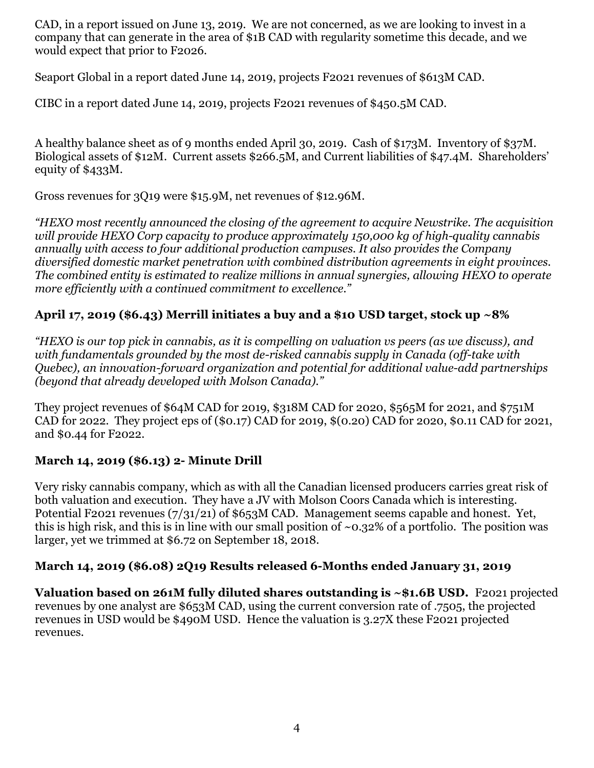CAD, in a report issued on June 13, 2019. We are not concerned, as we are looking to invest in a company that can generate in the area of \$1B CAD with regularity sometime this decade, and we would expect that prior to F2026.

Seaport Global in a report dated June 14, 2019, projects F2021 revenues of \$613M CAD.

CIBC in a report dated June 14, 2019, projects F2021 revenues of \$450.5M CAD.

A healthy balance sheet as of 9 months ended April 30, 2019. Cash of \$173M. Inventory of \$37M. Biological assets of \$12M. Current assets \$266.5M, and Current liabilities of \$47.4M. Shareholders' equity of \$433M.

Gross revenues for 3Q19 were \$15.9M, net revenues of \$12.96M.

"HEXO most recently announced the closing of the agreement to acquire Newstrike. The acquisition will provide HEXO Corp capacity to produce approximately 150,000 kg of high-quality cannabis annually with access to four additional production campuses. It also provides the Company diversified domestic market penetration with combined distribution agreements in eight provinces. The combined entity is estimated to realize millions in annual synergies, allowing HEXO to operate more efficiently with a continued commitment to excellence."

## April 17, 2019 (\$6.43) Merrill initiates a buy and a \$10 USD target, stock up ~8%

"HEXO is our top pick in cannabis, as it is compelling on valuation vs peers (as we discuss), and with fundamentals grounded by the most de-risked cannabis supply in Canada (off-take with Quebec), an innovation-forward organization and potential for additional value-add partnerships (beyond that already developed with Molson Canada)."

They project revenues of \$64M CAD for 2019, \$318M CAD for 2020, \$565M for 2021, and \$751M CAD for 2022. They project eps of (\$0.17) CAD for 2019, \$(0.20) CAD for 2020, \$0.11 CAD for 2021, and \$0.44 for F2022.

## March 14, 2019 (\$6.13) 2- Minute Drill

Very risky cannabis company, which as with all the Canadian licensed producers carries great risk of both valuation and execution. They have a JV with Molson Coors Canada which is interesting. Potential F2021 revenues (7/31/21) of \$653M CAD. Management seems capable and honest. Yet, this is high risk, and this is in line with our small position of  $\sim 0.32\%$  of a portfolio. The position was larger, yet we trimmed at \$6.72 on September 18, 2018.

#### March 14, 2019 (\$6.08) 2Q19 Results released 6-Months ended January 31, 2019

Valuation based on 261M fully diluted shares outstanding is ~\$1.6B USD. F2021 projected revenues by one analyst are \$653M CAD, using the current conversion rate of .7505, the projected revenues in USD would be \$490M USD. Hence the valuation is 3.27X these F2021 projected revenues.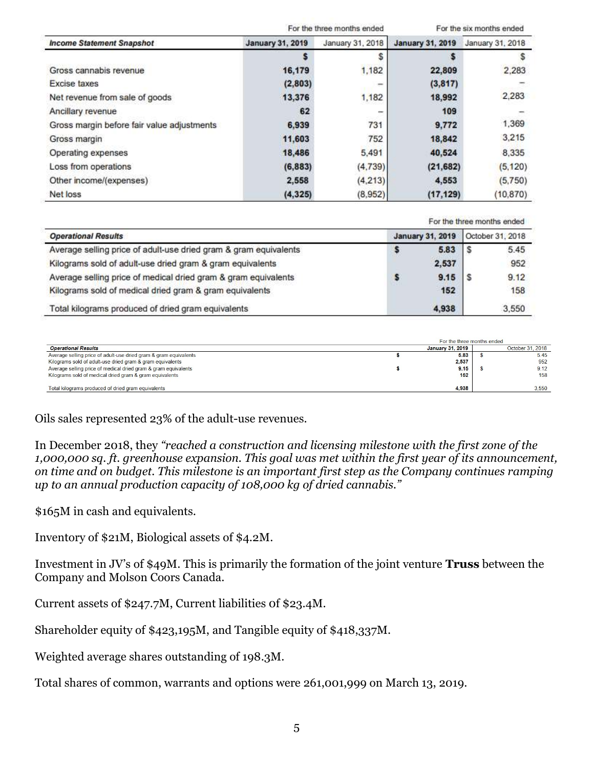|                                            |                         | For the three months ended | For the six months ended |                  |  |
|--------------------------------------------|-------------------------|----------------------------|--------------------------|------------------|--|
| <b>Income Statement Snapshot</b>           | <b>January 31, 2019</b> | January 31, 2018           | <b>January 31, 2019</b>  | January 31, 2018 |  |
|                                            |                         |                            |                          |                  |  |
| Gross cannabis revenue                     | 16,179                  | 1,182                      | 22,809                   | 2,283            |  |
| <b>Excise taxes</b>                        | (2,803)                 | -                          | (3,817)                  |                  |  |
| Net revenue from sale of goods             | 13,376                  | 1,182                      | 18,992                   | 2,283            |  |
| Ancillary revenue                          | 62                      | -                          | 109                      |                  |  |
| Gross margin before fair value adjustments | 6,939                   | 731                        | 9,772                    | 1,369            |  |
| Gross margin                               | 11,603                  | 752                        | 18,842                   | 3,215            |  |
| Operating expenses                         | 18,486                  | 5.491                      | 40,524                   | 8,335            |  |
| Loss from operations                       | (6, 883)                | (4.739)                    | (21, 682)                | (5, 120)         |  |
| Other income/(expenses)                    | 2,558                   | (4,213)                    | 4,553                    | (5,750)          |  |
| Net loss                                   | (4, 325)                | (8,952)                    | (17, 129)                | (10.870)         |  |

For the three months ended

| <b>Operational Results</b>                                       | <b>January 31, 2019</b> |       | October 31, 2018 |       |
|------------------------------------------------------------------|-------------------------|-------|------------------|-------|
| Average selling price of adult-use dried gram & gram equivalents |                         | 5.83  | ۱s               | 5.45  |
| Kilograms sold of adult-use dried gram & gram equivalents        |                         | 2,537 |                  | 952   |
| Average selling price of medical dried gram & gram equivalents   |                         | 9.15  | ΙS               | 9.12  |
| Kilograms sold of medical dried gram & gram equivalents          |                         | 152   |                  | 158   |
| Total kilograms produced of dried gram equivalents               |                         | 4,938 |                  | 3,550 |

|                                                                  | For the three months ended |                  |
|------------------------------------------------------------------|----------------------------|------------------|
| <b>Operational Results</b>                                       | January 31, 2019           | October 31, 2018 |
| Average selling price of adult-use dried gram & gram equivalents | 5.83                       | 5.45             |
| Kilograms sold of adult-use dried gram & gram equivalents        | 2.537                      | 952              |
| Average selling price of medical dried gram & gram equivalents   | 9.15                       | 9.12             |
| Kilograms sold of medical dried gram & gram equivalents          | 152                        | 158              |
| Total kilograms produced of dried gram equivalents               | 4.938                      | 3.550            |

Oils sales represented 23% of the adult-use revenues.

In December 2018, they "reached a construction and licensing milestone with the first zone of the 1,000,000 sq. ft. greenhouse expansion. This goal was met within the first year of its announcement, on time and on budget. This milestone is an important first step as the Company continues ramping up to an annual production capacity of 108,000 kg of dried cannabis."

\$165M in cash and equivalents.

Inventory of \$21M, Biological assets of \$4.2M.

Investment in JV's of \$49M. This is primarily the formation of the joint venture Truss between the Company and Molson Coors Canada.

Current assets of \$247.7M, Current liabilities 0f \$23.4M.

Shareholder equity of \$423,195M, and Tangible equity of \$418,337M.

Weighted average shares outstanding of 198.3M.

Total shares of common, warrants and options were 261,001,999 on March 13, 2019.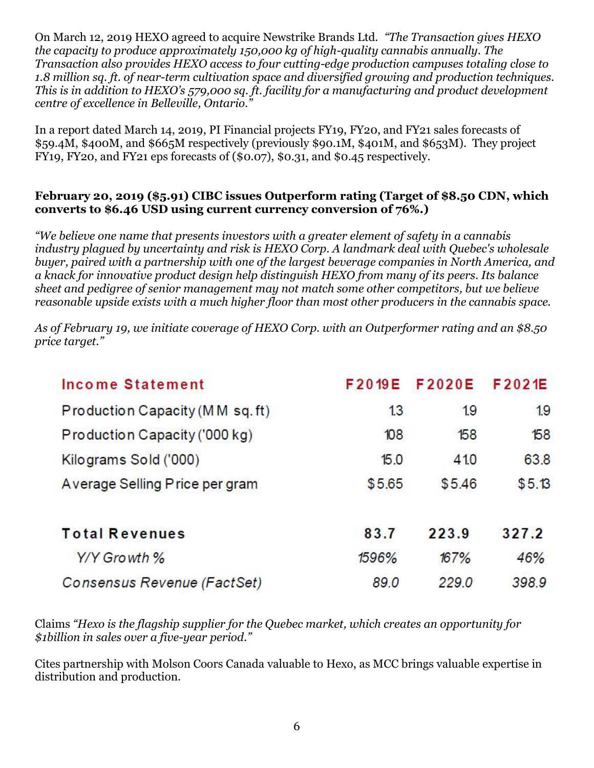On March 12, 2019 HEXO agreed to acquire Newstrike Brands Ltd. "The Transaction gives HEXO the capacity to produce approximately 150,000 kg of high-quality cannabis annually. The Transaction also provides HEXO access to four cutting-edge production campuses totaling close to 1.8 million sq. ft. of near-term cultivation space and diversified growing and production techniques. This is in addition to HEXO's 579,000 sq. ft. facility for a manufacturing and product development centre of excellence in Belleville, Ontario."

In a report dated March 14, 2019, PI Financial projects FY19, FY20, and FY21 sales forecasts of \$59.4M, \$400M, and \$665M respectively (previously \$90.1M, \$401M, and \$653M). They project FY19, FY20, and FY21 eps forecasts of (\$0.07), \$0.31, and \$0.45 respectively.

#### February 20, 2019 (\$5.91) CIBC issues Outperform rating (Target of \$8.50 CDN, which converts to \$6.46 USD using current currency conversion of 76%.)

"We believe one name that presents investors with a greater element of safety in a cannabis industry plagued by uncertainty and risk is HEXO Corp. A landmark deal with Quebec's wholesale buyer, paired with a partnership with one of the largest beverage companies in North America, and a knack for innovative product design help distinguish HEXO from many of its peers. Its balance sheet and pedigree of senior management may not match some other competitors, but we believe reasonable upside exists with a much higher floor than most other producers in the cannabis space.

As of February 19, we initiate coverage of HEXO Corp. with an Outperformer rating and an \$8.50 price target."

| Income Statement                | F 2019E | F2020E | F2021E |
|---------------------------------|---------|--------|--------|
| Production Capacity (MM sq. ft) | 13      | 19     | 1.9    |
| Production Capacity ('000 kg)   | 108     | 158    | 158    |
| Kilograms Sold ('000)           | 15.0    | 41.0   | 63.8   |
| A verage Selling Price per gram | \$5.65  | \$5.46 | \$5.13 |
| <b>Total Revenues</b>           | 83.7    | 223.9  | 327.2  |
| Y/Y Growth %                    | 1596%   | 167%   | 46%    |
| Consensus Revenue (FactSet)     | 89.0    | 229.0  | 398.9  |

Claims "Hexo is the flagship supplier for the Quebec market, which creates an opportunity for \$1billion in sales over a five-year period."

Cites partnership with Molson Coors Canada valuable to Hexo, as MCC brings valuable expertise in distribution and production.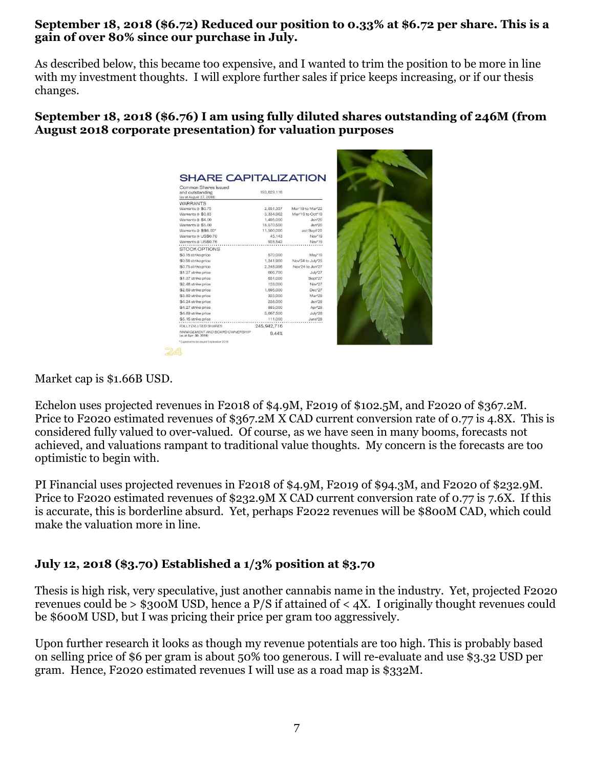#### September 18, 2018 (\$6.72) Reduced our position to 0.33% at \$6.72 per share. This is a gain of over 80% since our purchase in July.

As described below, this became too expensive, and I wanted to trim the position to be more in line with my investment thoughts. I will explore further sales if price keeps increasing, or if our thesis changes.

September 18, 2018 (\$6.76) I am using fully diluted shares outstanding of 246M (from August 2018 corporate presentation) for valuation purposes

| <b>WARRANTS</b><br>Warrants @ \$0.75<br>2,051,357<br>Mar' 19 to Mar' 22<br>Warrants @ \$0.83<br>Mar'19 to Oct'19<br>3.334.962<br>Warrants @ \$4.00<br>1,495,000<br>Jan'20<br>Warrants @ \$5.60<br>Jan'20<br>18,570,500<br>Warrants @ \$\$6.00*<br>11,500,000<br>est Sept'20<br>Warrants @ US\$0.70<br>45.143<br>Nov'19<br>Warrants @ US\$0.76<br>928,542<br>Nov'19<br><b>STOCK OPTIONS</b><br>\$0.16 strike price<br>570,000<br>May <sup>1</sup> 19<br>1,241,900<br>Nov'24 to July'25<br>\$0.58 strike price<br>Nov'24 to Jan'27<br>\$0.75 strike price<br>2.248.996<br>606,700<br>July'27<br>\$1,27 strike price<br>651,000<br>Sept'27<br>128,000<br>Nov'27<br>1,695,000<br>Dec'27<br>Mar <sup>1</sup> 28<br>325,000<br>Jan'28<br>258,000<br>Apr'28<br>885,000<br>5.667.500<br>July'28<br>\$5.15 strike price<br>111,000<br>June'28<br>245, 942, 716<br>FULLY DILUTED SHARES<br>MANAGEMENT AND BOARD OWNERSHIP<br>9.44%<br>(as at Apr. 30, 2018) | Common Shares issued<br>and outstanding<br>(as at August 27, 2018) | 193,629,116 |  |  |
|---------------------------------------------------------------------------------------------------------------------------------------------------------------------------------------------------------------------------------------------------------------------------------------------------------------------------------------------------------------------------------------------------------------------------------------------------------------------------------------------------------------------------------------------------------------------------------------------------------------------------------------------------------------------------------------------------------------------------------------------------------------------------------------------------------------------------------------------------------------------------------------------------------------------------------------------------|--------------------------------------------------------------------|-------------|--|--|
|                                                                                                                                                                                                                                                                                                                                                                                                                                                                                                                                                                                                                                                                                                                                                                                                                                                                                                                                                   |                                                                    |             |  |  |
|                                                                                                                                                                                                                                                                                                                                                                                                                                                                                                                                                                                                                                                                                                                                                                                                                                                                                                                                                   |                                                                    |             |  |  |
|                                                                                                                                                                                                                                                                                                                                                                                                                                                                                                                                                                                                                                                                                                                                                                                                                                                                                                                                                   |                                                                    |             |  |  |
|                                                                                                                                                                                                                                                                                                                                                                                                                                                                                                                                                                                                                                                                                                                                                                                                                                                                                                                                                   |                                                                    |             |  |  |
|                                                                                                                                                                                                                                                                                                                                                                                                                                                                                                                                                                                                                                                                                                                                                                                                                                                                                                                                                   |                                                                    |             |  |  |
|                                                                                                                                                                                                                                                                                                                                                                                                                                                                                                                                                                                                                                                                                                                                                                                                                                                                                                                                                   |                                                                    |             |  |  |
|                                                                                                                                                                                                                                                                                                                                                                                                                                                                                                                                                                                                                                                                                                                                                                                                                                                                                                                                                   |                                                                    |             |  |  |
|                                                                                                                                                                                                                                                                                                                                                                                                                                                                                                                                                                                                                                                                                                                                                                                                                                                                                                                                                   |                                                                    |             |  |  |
|                                                                                                                                                                                                                                                                                                                                                                                                                                                                                                                                                                                                                                                                                                                                                                                                                                                                                                                                                   |                                                                    |             |  |  |
|                                                                                                                                                                                                                                                                                                                                                                                                                                                                                                                                                                                                                                                                                                                                                                                                                                                                                                                                                   |                                                                    |             |  |  |
|                                                                                                                                                                                                                                                                                                                                                                                                                                                                                                                                                                                                                                                                                                                                                                                                                                                                                                                                                   |                                                                    |             |  |  |
|                                                                                                                                                                                                                                                                                                                                                                                                                                                                                                                                                                                                                                                                                                                                                                                                                                                                                                                                                   |                                                                    |             |  |  |
|                                                                                                                                                                                                                                                                                                                                                                                                                                                                                                                                                                                                                                                                                                                                                                                                                                                                                                                                                   | \$1.37 strike price                                                |             |  |  |
|                                                                                                                                                                                                                                                                                                                                                                                                                                                                                                                                                                                                                                                                                                                                                                                                                                                                                                                                                   | \$2.48 strike price                                                |             |  |  |
|                                                                                                                                                                                                                                                                                                                                                                                                                                                                                                                                                                                                                                                                                                                                                                                                                                                                                                                                                   | \$2.69 strike price                                                |             |  |  |
|                                                                                                                                                                                                                                                                                                                                                                                                                                                                                                                                                                                                                                                                                                                                                                                                                                                                                                                                                   | \$3.89 strike price                                                |             |  |  |
|                                                                                                                                                                                                                                                                                                                                                                                                                                                                                                                                                                                                                                                                                                                                                                                                                                                                                                                                                   | \$4.24 strike price                                                |             |  |  |
|                                                                                                                                                                                                                                                                                                                                                                                                                                                                                                                                                                                                                                                                                                                                                                                                                                                                                                                                                   | \$4.27 strike price                                                |             |  |  |
|                                                                                                                                                                                                                                                                                                                                                                                                                                                                                                                                                                                                                                                                                                                                                                                                                                                                                                                                                   | \$4.89 strike price                                                |             |  |  |
|                                                                                                                                                                                                                                                                                                                                                                                                                                                                                                                                                                                                                                                                                                                                                                                                                                                                                                                                                   |                                                                    |             |  |  |
|                                                                                                                                                                                                                                                                                                                                                                                                                                                                                                                                                                                                                                                                                                                                                                                                                                                                                                                                                   |                                                                    |             |  |  |

Market cap is \$1.66B USD.

Echelon uses projected revenues in F2018 of \$4.9M, F2019 of \$102.5M, and F2020 of \$367.2M. Price to F2020 estimated revenues of \$367.2M X CAD current conversion rate of 0.77 is 4.8X. This is considered fully valued to over-valued. Of course, as we have seen in many booms, forecasts not achieved, and valuations rampant to traditional value thoughts. My concern is the forecasts are too optimistic to begin with.

PI Financial uses projected revenues in F2018 of \$4.9M, F2019 of \$94.3M, and F2020 of \$232.9M. Price to F2020 estimated revenues of \$232.9M X CAD current conversion rate of 0.77 is 7.6X. If this is accurate, this is borderline absurd. Yet, perhaps F2022 revenues will be \$800M CAD, which could make the valuation more in line.

## July 12, 2018 (\$3.70) Established a 1/3% position at \$3.70

Thesis is high risk, very speculative, just another cannabis name in the industry. Yet, projected F2020 revenues could be  $>$  \$300M USD, hence a P/S if attained of  $<$  4X. I originally thought revenues could be \$600M USD, but I was pricing their price per gram too aggressively.

Upon further research it looks as though my revenue potentials are too high. This is probably based on selling price of \$6 per gram is about 50% too generous. I will re-evaluate and use \$3.32 USD per gram. Hence, F2020 estimated revenues I will use as a road map is \$332M.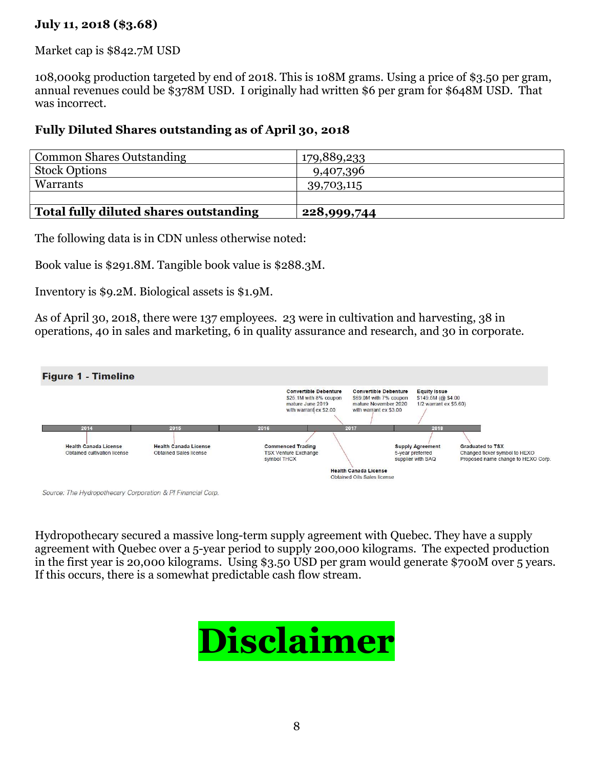### July 11, 2018 (\$3.68)

Market cap is \$842.7M USD

108,000kg production targeted by end of 2018. This is 108M grams. Using a price of \$3.50 per gram, annual revenues could be \$378M USD. I originally had written \$6 per gram for \$648M USD. That was incorrect.

#### Fully Diluted Shares outstanding as of April 30, 2018

| <b>Common Shares Outstanding</b>       | 179,889,233 |
|----------------------------------------|-------------|
| <b>Stock Options</b>                   | 9,407,396   |
| Warrants                               | 39,703,115  |
|                                        |             |
| Total fully diluted shares outstanding | 228,999,744 |

The following data is in CDN unless otherwise noted:

Book value is \$291.8M. Tangible book value is \$288.3M.

Inventory is \$9.2M. Biological assets is \$1.9M.

As of April 30, 2018, there were 137 employees. 23 were in cultivation and harvesting, 38 in operations, 40 in sales and marketing, 6 in quality assurance and research, and 30 in corporate.



Source: The Hydropothecary Corporation & PI Financial Corp

Hydropothecary secured a massive long-term supply agreement with Quebec. They have a supply agreement with Quebec over a 5-year period to supply 200,000 kilograms. The expected production in the first year is 20,000 kilograms. Using \$3.50 USD per gram would generate \$700M over 5 years. If this occurs, there is a somewhat predictable cash flow stream.